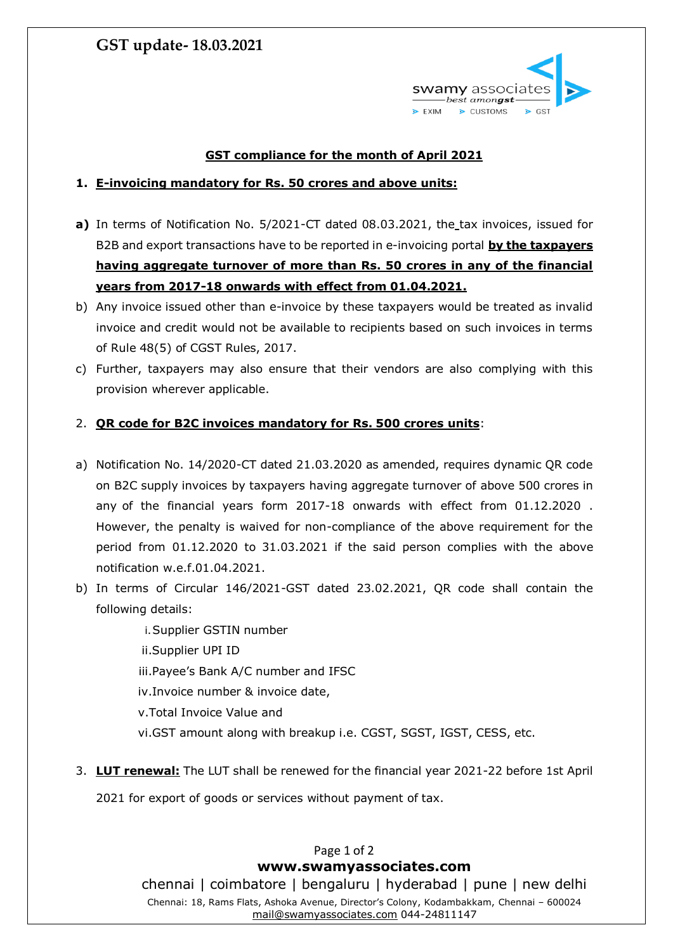# **GST update- 18.03.2021**



### **GST compliance for the month of April 2021**

#### **1. E-invoicing mandatory for Rs. 50 crores and above units:**

- **a)** In terms of Notification No. 5/2021-CT dated 08.03.2021, the tax invoices, issued for B2B and export transactions have to be reported in e-invoicing portal **by the taxpayers having aggregate turnover of more than Rs. 50 crores in any of the financial years from 2017-18 onwards with effect from 01.04.2021.**
- b) Any invoice issued other than e-invoice by these taxpayers would be treated as invalid invoice and credit would not be available to recipients based on such invoices in terms of Rule 48(5) of CGST Rules, 2017.
- c) Further, taxpayers may also ensure that their vendors are also complying with this provision wherever applicable.

#### 2. **QR code for B2C invoices mandatory for Rs. 500 crores units**:

- a) Notification No. 14/2020-CT dated 21.03.2020 as amended, requires dynamic QR code on B2C supply invoices by taxpayers having aggregate turnover of above 500 crores in any of the financial years form 2017-18 onwards with effect from 01.12.2020 . However, the penalty is waived for non-compliance of the above requirement for the period from 01.12.2020 to 31.03.2021 if the said person complies with the above notification w.e.f.01.04.2021.
- b) In terms of Circular 146/2021-GST dated 23.02.2021, QR code shall contain the following details:
	- i.Supplier GSTIN number
	- ii.Supplier UPI ID
	- iii.Payee's Bank A/C number and IFSC
	- iv.Invoice number & invoice date,
	- v.Total Invoice Value and
	- vi.GST amount along with breakup i.e. CGST, SGST, IGST, CESS, etc.
- 3. **LUT renewal:** The LUT shall be renewed for the financial year 2021-22 before 1st April

2021 for export of goods or services without payment of tax.

Page 1 of 2 **[www.swamyassociates.com](http://www.swamyassociates.com/)** chennai | coimbatore | bengaluru | hyderabad | pune | new delhi Chennai: 18, Rams Flats, Ashoka Avenue, Director's Colony, Kodambakkam, Chennai – 600024 [mail@swamyassociates.com](mailto:mail@swamyassociates.com) 044-24811147